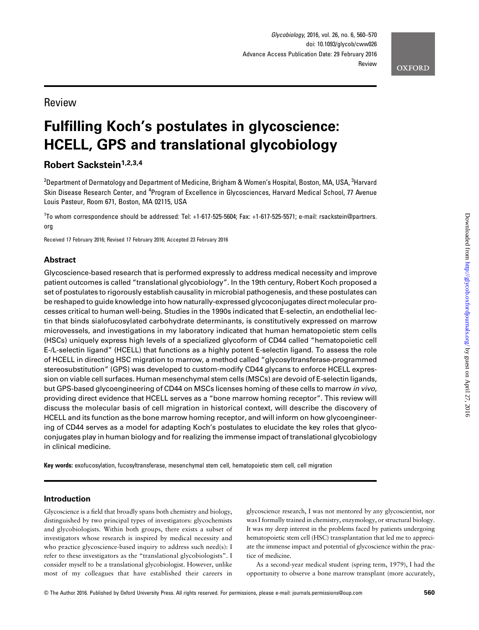# Review

# Fulfilling Koch's postulates in glycoscience: HCELL, GPS and translational glycobiology

## Robert Sackstein<sup>1,2,3,4</sup>

 $^{\rm 2}$ Department of Dermatology and Department of Medicine, Brigham & Women's Hospital, Boston, MA, USA,  $^{\rm 3}$ Harvard Skin Disease Research Center, and <sup>4</sup>Program of Excellence in Glycosciences, Harvard Medical School, 77 Avenue Louis Pasteur, Room 671, Boston, MA 02115, USA

1 To whom correspondence should be addressed: Tel: +1-617-525-5604; Fax: +1-617-525-5571; e-mail: rsackstein@partners. org

Received 17 February 2016; Revised 17 February 2016; Accepted 23 February 2016

## Abstract

Glycoscience-based research that is performed expressly to address medical necessity and improve patient outcomes is called "translational glycobiology". In the 19th century, Robert Koch proposed a set of postulates to rigorously establish causality in microbial pathogenesis, and these postulates can be reshaped to guide knowledge into how naturally-expressed glycoconjugates direct molecular processes critical to human well-being. Studies in the 1990s indicated that E-selectin, an endothelial lectin that binds sialofucosylated carbohydrate determinants, is constitutively expressed on marrow microvessels, and investigations in my laboratory indicated that human hematopoietic stem cells (HSCs) uniquely express high levels of a specialized glycoform of CD44 called "hematopoietic cell E-/L-selectin ligand" (HCELL) that functions as a highly potent E-selectin ligand. To assess the role of HCELL in directing HSC migration to marrow, a method called "glycosyltransferase-programmed stereosubstitution" (GPS) was developed to custom-modify CD44 glycans to enforce HCELL expression on viable cell surfaces. Human mesenchymal stem cells (MSCs) are devoid of E-selectin ligands, but GPS-based glycoengineering of CD44 on MSCs licenses homing of these cells to marrow in vivo, providing direct evidence that HCELL serves as a "bone marrow homing receptor". This review will discuss the molecular basis of cell migration in historical context, will describe the discovery of HCELL and its function as the bone marrow homing receptor, and will inform on how glycoengineering of CD44 serves as a model for adapting Koch's postulates to elucidate the key roles that glycoconjugates play in human biology and for realizing the immense impact of translational glycobiology in clinical medicine.

Key words: exofucosylation, fucosyltransferase, mesenchymal stem cell, hematopoietic stem cell, cell migration

#### Introduction

Glycoscience is a field that broadly spans both chemistry and biology, distinguished by two principal types of investigators: glycochemists and glycobiologists. Within both groups, there exists a subset of investigators whose research is inspired by medical necessity and who practice glycoscience-based inquiry to address such need(s): I refer to these investigators as the "translational glycobiologists". I consider myself to be a translational glycobiologist. However, unlike most of my colleagues that have established their careers in glycoscience research, I was not mentored by any glycoscientist, nor was I formally trained in chemistry, enzymology, or structural biology. It was my deep interest in the problems faced by patients undergoing hematopoietic stem cell (HSC) transplantation that led me to appreciate the immense impact and potential of glycoscience within the practice of medicine.

As a second-year medical student (spring term, 1979), I had the opportunity to observe a bone marrow transplant (more accurately,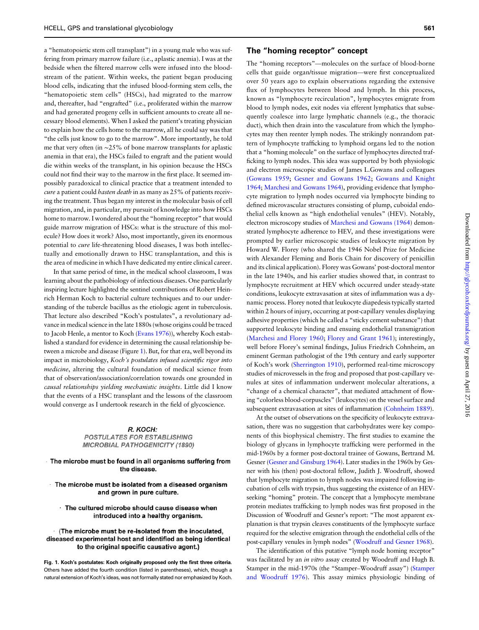a "hematopoietic stem cell transplant") in a young male who was suffering from primary marrow failure (i.e., aplastic anemia). I was at the bedside when the filtered marrow cells were infused into the bloodstream of the patient. Within weeks, the patient began producing blood cells, indicating that the infused blood-forming stem cells, the "hematopoietic stem cells" (HSCs), had migrated to the marrow and, thereafter, had "engrafted" (i.e., proliferated within the marrow and had generated progeny cells in sufficient amounts to create all necessary blood elements). When I asked the patient's treating physician to explain how the cells home to the marrow, all he could say was that "the cells just know to go to the marrow". More importantly, he told me that very often (in ∼25% of bone marrow transplants for aplastic anemia in that era), the HSCs failed to engraft and the patient would die within weeks of the transplant, in his opinion because the HSCs could not find their way to the marrow in the first place. It seemed impossibly paradoxical to clinical practice that a treatment intended to cure a patient could *hasten death* in as many as 25% of patients receiving the treatment. Thus began my interest in the molecular basis of cell migration, and, in particular, my pursuit of knowledge into how HSCs home to marrow. I wondered about the "homing receptor" that would guide marrow migration of HSCs: what is the structure of this molecule? How does it work? Also, most importantly, given its enormous potential to cure life-threatening blood diseases, I was both intellectually and emotionally drawn to HSC transplantation, and this is the area of medicine in which I have dedicated my entire clinical career.

In that same period of time, in the medical school classroom, I was learning about the pathobiology of infectious diseases. One particularly inspiring lecture highlighted the sentinel contributions of Robert Heinrich Herman Koch to bacterial culture techniques and to our understanding of the tubercle bacillus as the etiologic agent in tuberculosis. That lecture also described "Koch's postulates", a revolutionary advance in medical science in the late 1880s (whose origins could be traced to Jacob Henle, a mentor to Koch [\(Evans 1976](#page-9-0))), whereby Koch established a standard for evidence in determining the causal relationship between a microbe and disease (Figure 1). But, for that era, well beyond its impact in microbiology, Koch's postulates infused scientific rigor into medicine, altering the cultural foundation of medical science from that of observation/association/correlation towards one grounded in causal relationships yielding mechanistic insights. Little did I know that the events of a HSC transplant and the lessons of the classroom would converge as I undertook research in the field of glycoscience.

#### R. KOCH:

#### **POSTULATES FOR ESTABLISHING MICROBIAL PATHOGENICITY (1890)**

The microbe must be found in all organisms suffering from the disease.

The microbe must be isolated from a diseased organism and grown in pure culture.

· The cultured microbe should cause disease when introduced into a healthy organism.

#### · (The microbe must be re-isolated from the inoculated, diseased experimental host and identified as being identical to the original specific causative agent.)

Fig. 1. Koch's postulates: Koch originally proposed only the first three criteria. Others have added the fourth condition (listed in parentheses), which, though a natural extension of Koch's ideas, was not formally stated nor emphasized by Koch.

#### The "homing receptor" concept

The "homing receptors"—molecules on the surface of blood-borne cells that guide organ/tissue migration—were first conceptualized over 50 years ago to explain observations regarding the extensive flux of lymphocytes between blood and lymph. In this process, known as "lymphocyte recirculation", lymphocytes emigrate from blood to lymph nodes, exit nodes via efferent lymphatics that subsequently coalesce into large lymphatic channels (e.g., the thoracic duct), which then drain into the vasculature from which the lymphocytes may then reenter lymph nodes. The strikingly nonrandom pattern of lymphocyte trafficking to lymphoid organs led to the notion that a "homing molecule" on the surface of lymphocytes directed trafficking to lymph nodes. This idea was supported by both physiologic and electron microscopic studies of James L.Gowans and colleagues [\(Gowans 1959;](#page-9-0) [Gesner and Gowans 1962](#page-9-0); [Gowans and Knight](#page-9-0) [1964](#page-9-0); [Marchesi and Gowans 1964](#page-9-0)), providing evidence that lymphocyte migration to lymph nodes occurred via lymphocyte binding to defined microvascular structures consisting of plump, cuboidal endothelial cells known as "high endothelial venules" (HEV). Notably, electron microscopy studies of [Marchesi and Gowans \(1964](#page-9-0)) demonstrated lymphocyte adherence to HEV, and these investigations were prompted by earlier microscopic studies of leukocyte migration by Howard W. Florey (who shared the 1946 Nobel Prize for Medicine with Alexander Fleming and Boris Chain for discovery of penicillin and its clinical application). Florey was Gowans' post-doctoral mentor in the late 1940s, and his earlier studies showed that, in contrast to lymphocyte recruitment at HEV which occurred under steady-state conditions, leukocyte extravasation at sites of inflammation was a dynamic process. Florey noted that leukocyte diapedesis typically started within 2 hours of injury, occurring at post-capillary venules displaying adhesive properties (which he called a "sticky cement substance") that supported leukocyte binding and ensuing endothelial transmigration [\(Marchesi and Florey 1960](#page-9-0); [Florey and Grant 1961](#page-9-0)); interestingly, well before Florey's seminal findings, Julius Friedrich Cohnheim, an eminent German pathologist of the 19th century and early supporter of Koch's work ([Sherrington 1910\)](#page-10-0), performed real-time microscopy studies of microvessels in the frog and proposed that post-capillary venules at sites of inflammation underwent molecular alterations, a "change of a chemical character", that mediated attachment of flowing "colorless blood-corpuscles" (leukocytes) on the vessel surface and subsequent extravasation at sites of inflammation [\(Cohnheim 1889\)](#page-9-0).

At the outset of observations on the specificity of leukocyte extravasation, there was no suggestion that carbohydrates were key components of this biophysical chemistry. The first studies to examine the biology of glycans in lymphocyte trafficking were performed in the mid-1960s by a former post-doctoral trainee of Gowans, Bertrand M. Gesner [\(Gesner and Ginsburg 1964](#page-9-0)). Later studies in the 1960s by Gesner with his (then) post-doctoral fellow, Judith J. Woodruff, showed that lymphocyte migration to lymph nodes was impaired following incubation of cells with trypsin, thus suggesting the existence of an HEVseeking "homing" protein. The concept that a lymphocyte membrane protein mediates trafficking to lymph nodes was first proposed in the Discussion of Woodruff and Gesner's report: "The most apparent explanation is that trypsin cleaves constituents of the lymphocyte surface required for the selective emigration through the endothelial cells of the post-capillary venules in lymph nodes" ([Woodruff and Gesner 1968\)](#page-10-0).

The identification of this putative "lymph node homing receptor" was facilitated by an in vitro assay created by Woodruff and Hugh B. Stamper in the mid-1970s (the "Stamper–Woodruff assay") ([Stamper](#page-10-0) [and Woodruff 1976\)](#page-10-0). This assay mimics physiologic binding of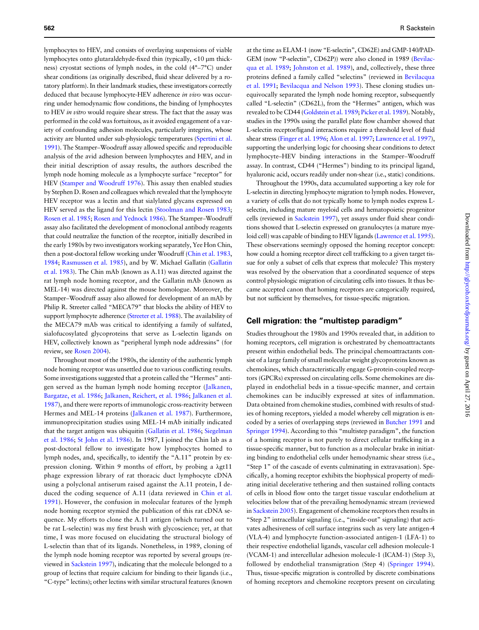lymphocytes to HEV, and consists of overlaying suspensions of viable lymphocytes onto glutaraldehyde-fixed thin (typically, <10 µm thickness) cryostat sections of lymph nodes, in the cold (4°–7°C) under shear conditions (as originally described, fluid shear delivered by a rotatory platform). In their landmark studies, these investigators correctly deduced that because lymphocyte-HEV adherence in vivo was occurring under hemodynamic flow conditions, the binding of lymphocytes to HEV in vitro would require shear stress. The fact that the assay was performed in the cold was fortuitous, as it avoided engagement of a variety of confounding adhesion molecules, particularly integrins, whose activity are blunted under sub-physiologic temperatures [\(Spertini et al.](#page-10-0) [1991\)](#page-10-0). The Stamper–Woodruff assay allowed specific and reproducible analysis of the avid adhesion between lymphocytes and HEV, and in their initial description of assay results, the authors described the lymph node homing molecule as a lymphocyte surface "receptor" for HEV ([Stamper and Woodruff 1976](#page-10-0)). This assay then enabled studies by Stephen D. Rosen and colleagues which revealed that the lymphocyte HEV receptor was a lectin and that sialylated glycans expressed on HEV served as the ligand for this lectin [\(Stoolman and Rosen 1983](#page-10-0); [Rosen et al. 1985;](#page-10-0) [Rosen and Yednock 1986\)](#page-10-0). The Stamper–Woodruff assay also facilitated the development of monoclonal antibody reagents that could neutralize the function of the receptor, initially described in the early 1980s by two investigators working separately, Yee Hon Chin, then a post-doctoral fellow working under Woodruff [\(Chin et al. 1983](#page-9-0), [1984](#page-9-0); [Rasmussen et al. 1985\)](#page-10-0), and by W. Michael Gallatin [\(Gallatin](#page-9-0) [et al. 1983\)](#page-9-0). The Chin mAb (known as A.11) was directed against the rat lymph node homing receptor, and the Gallatin mAb (known as MEL-14) was directed against the mouse homologue. Moreover, the Stamper–Woodruff assay also allowed for development of an mAb by Philip R. Streeter called "MECA79" that blocks the ability of HEV to support lymphocyte adherence ([Streeter et al. 1988](#page-10-0)). The availability of the MECA79 mAb was critical to identifying a family of sulfated, sialofucosylated glycoproteins that serve as L-selectin ligands on HEV, collectively known as "peripheral lymph node addressins" (for review, see [Rosen 2004\)](#page-10-0).

Throughout most of the 1980s, the identity of the authentic lymph node homing receptor was unsettled due to various conflicting results. Some investigations suggested that a protein called the "Hermes" antigen served as the human lymph node homing receptor ([Jalkanen,](#page-9-0) [Bargatze, et al. 1986;](#page-9-0) [Jalkanen, Reichert, et al. 1986;](#page-9-0) [Jalkanen et al.](#page-9-0) [1987](#page-9-0)), and there were reports of immunologic cross-reactivity between Hermes and MEL-14 proteins ([Jalkanen et al. 1987\)](#page-9-0). Furthermore, immunoprecipitation studies using MEL-14 mAb initially indicated that the target antigen was ubiquitin ([Gallatin et al. 1986;](#page-9-0) [Siegelman](#page-10-0) [et al. 1986;](#page-10-0) [St John et al. 1986\)](#page-10-0). In 1987, I joined the Chin lab as a post-doctoral fellow to investigate how lymphocytes homed to lymph nodes, and, specifically, to identify the "A.11" protein by expression cloning. Within 9 months of effort, by probing a λgt11 phage expression library of rat thoracic duct lymphocyte cDNA using a polyclonal antiserum raised against the A.11 protein, I deduced the coding sequence of A.11 (data reviewed in [Chin et al.](#page-9-0) [1991\)](#page-9-0). However, the confusion in molecular features of the lymph node homing receptor stymied the publication of this rat cDNA sequence. My efforts to clone the A.11 antigen (which turned out to be rat L-selectin) was my first brush with glycoscience; yet, at that time, I was more focused on elucidating the structural biology of L-selectin than that of its ligands. Nonetheless, in 1989, cloning of the lymph node homing receptor was reported by several groups (reviewed in [Sackstein 1997\)](#page-10-0), indicating that the molecule belonged to a group of lectins that require calcium for binding to their ligands (i.e., "C-type" lectins); other lectins with similar structural features (known

at the time as ELAM-1 (now "E-selectin", CD62E) and GMP-140/PAD-GEM (now "P-selectin", CD62P)) were also cloned in 1989 [\(Bevilac](#page-9-0)[qua et al. 1989;](#page-9-0) [Johnston et al. 1989\)](#page-9-0), and, collectively, these three proteins defined a family called "selectins" (reviewed in [Bevilacqua](#page-9-0) [et al. 1991;](#page-9-0) [Bevilacqua and Nelson 1993\)](#page-9-0). These cloning studies unequivocally separated the lymph node homing receptor, subsequently called "L-selectin" (CD62L), from the "Hermes" antigen, which was revealed to be CD44 [\(Goldstein et al. 1989](#page-9-0); [Picker et al. 1989](#page-9-0)). Notably, studies in the 1990s using the parallel plate flow chamber showed that L-selectin receptor/ligand interactions require a threshold level of fluid shear stress [\(Finger et al. 1996;](#page-9-0) [Alon et al. 1997](#page-8-0); [Lawrence et al. 1997\)](#page-9-0), supporting the underlying logic for choosing shear conditions to detect lymphocyte–HEV binding interactions in the Stamper–Woodruff assay. In contrast, CD44 ("Hermes") binding to its principal ligand, hyaluronic acid, occurs readily under non-shear (i.e., static) conditions.

Throughout the 1990s, data accumulated supporting a key role for L-selectin in directing lymphocyte migration to lymph nodes. However, a variety of cells that do not typically home to lymph nodes express Lselectin, including mature myeloid cells and hematopoietic progenitor cells (reviewed in [Sackstein 1997](#page-10-0)), yet assays under fluid shear conditions showed that L-selectin expressed on granulocytes (a mature myeloid cell) was capable of binding to HEV ligands [\(Lawrence et al. 1995\)](#page-9-0). These observations seemingly opposed the homing receptor concept: how could a homing receptor direct cell trafficking to a given target tissue for only a subset of cells that express that molecule? This mystery was resolved by the observation that a coordinated sequence of steps control physiologic migration of circulating cells into tissues. It thus became accepted canon that homing receptors are categorically required, but not sufficient by themselves, for tissue-specific migration.

#### Cell migration: the "multistep paradigm"

Studies throughout the 1980s and 1990s revealed that, in addition to homing receptors, cell migration is orchestrated by chemoattractants present within endothelial beds. The principal chemoattractants consist of a large family of small molecular weight glycoproteins known as chemokines, which characteristically engage G-protein-coupled receptors (GPCRs) expressed on circulating cells. Some chemokines are displayed in endothelial beds in a tissue-specific manner, and certain chemokines can be inducibly expressed at sites of inflammation. Data obtained from chemokine studies, combined with results of studies of homing receptors, yielded a model whereby cell migration is encoded by a series of overlapping steps (reviewed in [Butcher 1991](#page-9-0) and [Springer 1994\)](#page-10-0). According to this "multistep paradigm", the function of a homing receptor is not purely to direct cellular trafficking in a tissue-specific manner, but to function as a molecular brake in initiating binding to endothelial cells under hemodynamic shear stress (i.e., "Step 1" of the cascade of events culminating in extravasation). Specifically, a homing receptor exhibits the biophysical property of mediating initial decelerative tethering and then sustained rolling contacts of cells in blood flow onto the target tissue vascular endothelium at velocities below that of the prevailing hemodynamic stream (reviewed in [Sackstein 2005](#page-10-0)). Engagement of chemokine receptors then results in "Step 2" intracellular signaling (i.e., "inside-out" signaling) that activates adhesiveness of cell surface integrins such as very late antigen-4 (VLA-4) and lymphocyte function-associated antigen-1 (LFA-1) to their respective endothelial ligands, vascular cell adhesion molecule-1 (VCAM-1) and intercellular adhesion molecule-1 (ICAM-1) (Step 3), followed by endothelial transmigration (Step 4) ([Springer 1994\)](#page-10-0). Thus, tissue-specific migration is controlled by discrete combinations of homing receptors and chemokine receptors present on circulating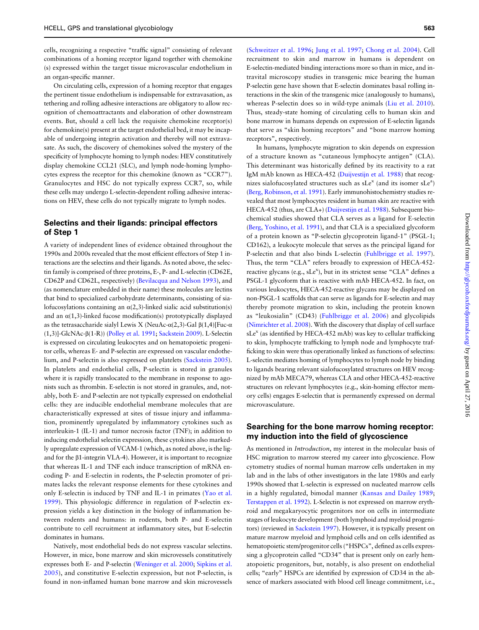cells, recognizing a respective "traffic signal" consisting of relevant combinations of a homing receptor ligand together with chemokine (s) expressed within the target tissue microvascular endothelium in an organ-specific manner.

On circulating cells, expression of a homing receptor that engages the pertinent tissue endothelium is indispensable for extravasation, as tethering and rolling adhesive interactions are obligatory to allow recognition of chemoattractants and elaboration of other downstream events. But, should a cell lack the requisite chemokine receptor(s) for chemokine(s) present at the target endothelial bed, it may be incapable of undergoing integrin activation and thereby will not extravasate. As such, the discovery of chemokines solved the mystery of the specificity of lymphocyte homing to lymph nodes: HEV constitutively display chemokine CCL21 (SLC), and lymph node-homing lymphocytes express the receptor for this chemokine (known as "CCR7"). Granulocytes and HSC do not typically express CCR7, so, while these cells may undergo L-selectin-dependent rolling adhesive interactions on HEV, these cells do not typically migrate to lymph nodes.

## Selectins and their ligands: principal effectors of Step 1

A variety of independent lines of evidence obtained throughout the 1990s and 2000s revealed that the most efficient effectors of Step 1 interactions are the selectins and their ligands. As noted above, the selectin family is comprised of three proteins, E-, P- and L-selectin (CD62E, CD62P and CD62L, respectively) [\(Bevilacqua and Nelson 1993](#page-9-0)), and (as nomenclature embedded in their name) these molecules are lectins that bind to specialized carbohydrate determinants, consisting of sialofucosylations containing an  $\alpha$ (2,3)-linked sialic acid substitution(s) and an  $\alpha(1,3)$ -linked fucose modification(s) prototypically displayed as the tetrasaccharide sialyl Lewis X (NeuAc-α(2,3)-Gal  $β(1,4)$ [Fuc-α (1,3)]-GlcNAc-β(1-R)) [\(Polley et al. 1991](#page-10-0); [Sackstein 2009\)](#page-10-0). L-Selectin is expressed on circulating leukocytes and on hematopoietic progenitor cells, whereas E- and P-selectin are expressed on vascular endothelium, and P-selectin is also expressed on platelets [\(Sackstein 2005\)](#page-10-0). In platelets and endothelial cells, P-selectin is stored in granules where it is rapidly translocated to the membrane in response to agonists such as thrombin. E-selectin is not stored in granules, and, notably, both E- and P-selectin are not typically expressed on endothelial cells: they are inducible endothelial membrane molecules that are characteristically expressed at sites of tissue injury and inflammation, prominently upregulated by inflammatory cytokines such as interleukin-1 (IL-1) and tumor necrosis factor (TNF); in addition to inducing endothelial selectin expression, these cytokines also markedly upregulate expression of VCAM-1 (which, as noted above, is the ligand for the β1-integrin VLA-4). However, it is important to recognize that whereas IL-1 and TNF each induce transcription of mRNA encoding P- and E-selectin in rodents, the P-selectin promoter of primates lacks the relevant response elements for these cytokines and only E-selectin is induced by TNF and IL-1 in primates [\(Yao et al.](#page-10-0) [1999\)](#page-10-0). This physiologic difference in regulation of P-selectin expression yields a key distinction in the biology of inflammation between rodents and humans: in rodents, both P- and E-selectin contribute to cell recruitment at inflammatory sites, but E-selectin dominates in humans.

Natively, most endothelial beds do not express vascular selectins. However, in mice, bone marrow and skin microvessels constitutively expresses both E- and P-selectin [\(Weninger et al. 2000](#page-10-0); [Sipkins et al.](#page-10-0) [2005\)](#page-10-0), and constitutive E-selectin expression, but not P-selectin, is found in non-inflamed human bone marrow and skin microvessels

[\(Schweitzer et al. 1996](#page-10-0); [Jung et al. 1997;](#page-9-0) [Chong et al. 2004](#page-9-0)). Cell recruitment to skin and marrow in humans is dependent on E-selectin-mediated binding interactions more so than in mice, and intravital microscopy studies in transgenic mice bearing the human P-selectin gene have shown that E-selectin dominates basal rolling interactions in the skin of the transgenic mice (analogously to humans), whereas P-selectin does so in wild-type animals ([Liu et al. 2010\)](#page-9-0). Thus, steady-state homing of circulating cells to human skin and bone marrow in humans depends on expression of E-selectin ligands that serve as "skin homing receptors" and "bone marrow homing receptors", respectively.

In humans, lymphocyte migration to skin depends on expression of a structure known as "cutaneous lymphocyte antigen" (CLA). This determinant was historically defined by its reactivity to a rat IgM mAb known as HECA-452 [\(Duijvestijn et al. 1988\)](#page-9-0) that recognizes sialofucosylated structures such as  $sLe^{x}$  (and its isomer  $sLe^{a}$ ) [\(Berg, Robinson, et al. 1991](#page-8-0)). Early immunohistochemistry studies revealed that most lymphocytes resident in human skin are reactive with HECA-452 (thus, are CLA+) [\(Duijvestijn et al. 1988](#page-9-0)). Subsequent biochemical studies showed that CLA serves as a ligand for E-selectin [\(Berg, Yoshino, et al. 1991](#page-9-0)), and that CLA is a specialized glycoform of a protein known as "P-selectin glycoprotein ligand-1" (PSGL-1; CD162), a leukocyte molecule that serves as the principal ligand for P-selectin and that also binds L-selectin [\(Fuhlbrigge et al. 1997\)](#page-9-0). Thus, the term "CLA" refers broadly to expression of HECA-452 reactive glycans (e.g., sLe<sup>x</sup>), but in its strictest sense "CLA" defines a PSGL-1 glycoform that is reactive with mAb HECA-452. In fact, on various leukocytes, HECA-452-reactive glycans may be displayed on non-PSGL-1 scaffolds that can serve as ligands for E-selectin and may thereby promote migration to skin, including the protein known as "leukosialin" (CD43) ([Fuhlbrigge et al. 2006\)](#page-9-0) and glycolipids [\(Nimrichter et al. 2008\)](#page-9-0). With the discovery that display of cell surface  $sLe<sup>x</sup>$  (as identified by HECA-452 mAb) was key to cellular trafficking to skin, lymphocyte trafficking to lymph node and lymphocyte trafficking to skin were thus operationally linked as functions of selectins: L-selectin mediates homing of lymphocytes to lymph node by binding to ligands bearing relevant sialofucosylated structures on HEV recognized by mAb MECA79, whereas CLA and other HECA-452-reactive structures on relevant lymphocytes (e.g., skin-homing effector memory cells) engages E-selectin that is permanently expressed on dermal microvasculature.

## Searching for the bone marrow homing receptor: my induction into the field of glycoscience

As mentioned in Introduction, my interest in the molecular basis of HSC migration to marrow steered my career into glycoscience. Flow cytometry studies of normal human marrow cells undertaken in my lab and in the labs of other investigators in the late 1980s and early 1990s showed that L-selectin is expressed on nucleated marrow cells in a highly regulated, bimodal manner ([Kansas and Dailey 1989](#page-9-0); [Terstappen et al. 1992\)](#page-10-0). L-Selectin is not expressed on marrow erythroid and megakaryocytic progenitors nor on cells in intermediate stages of leukocyte development (both lymphoid and myeloid progenitors) (reviewed in [Sackstein 1997\)](#page-10-0). However, it is typically present on mature marrow myeloid and lymphoid cells and on cells identified as hematopoietic stem/progenitor cells ("HSPCs", defined as cells expressing a glycoprotein called "CD34" that is present only on early hematopoietic progenitors, but, notably, is also present on endothelial cells; "early" HSPCs are identified by expression of CD34 in the absence of markers associated with blood cell lineage commitment, i.e.,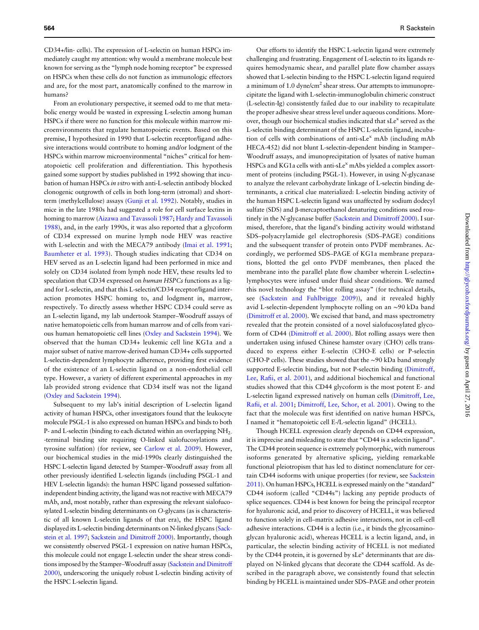CD34+/lin- cells). The expression of L-selectin on human HSPCs immediately caught my attention: why would a membrane molecule best known for serving as the "lymph node homing receptor" be expressed on HSPCs when these cells do not function as immunologic effectors and are, for the most part, anatomically confined to the marrow in humans?

From an evolutionary perspective, it seemed odd to me that metabolic energy would be wasted in expressing L-selectin among human HSPCs if there were no function for this molecule within marrow microenvironments that regulate hematopoietic events. Based on this premise, I hypothesized in 1990 that L-selectin receptor/ligand adhesive interactions would contribute to homing and/or lodgment of the HSPCs within marrow microenvironmental "niches" critical for hematopoietic cell proliferation and differentiation. This hypothesis gained some support by studies published in 1992 showing that incubation of human HSPCs in vitro with anti-L-selectin antibody blocked clonogenic outgrowth of cells in both long-term (stromal) and shortterm (methylcellulose) assays [\(Gunji et al. 1992\)](#page-9-0). Notably, studies in mice in the late 1980s had suggested a role for cell surface lectins in homing to marrow [\(Aizawa and Tavassoli 1987;](#page-8-0) [Hardy and Tavassoli](#page-9-0) [1988](#page-9-0)), and, in the early 1990s, it was also reported that a glycoform of CD34 expressed on murine lymph node HEV was reactive with L-selectin and with the MECA79 antibody ([Imai et al. 1991](#page-9-0); [Baumheter et al. 1993\)](#page-8-0). Though studies indicating that CD34 on HEV served as an L-selectin ligand had been performed in mice and solely on CD34 isolated from lymph node HEV, these results led to speculation that CD34 expressed on *human HSPCs* functions as a ligand for L-selectin, and that this L-selectin/CD34 receptor/ligand interaction promotes HSPC homing to, and lodgment in, marrow, respectively. To directly assess whether HSPC CD34 could serve as an L-selectin ligand, my lab undertook Stamper–Woodruff assays of native hematopoietic cells from human marrow and of cells from various human hematopoietic cell lines [\(Oxley and Sackstein 1994](#page-9-0)). We observed that the human CD34+ leukemic cell line KG1a and a major subset of native marrow-derived human CD34+ cells supported L-selectin-dependent lymphocyte adherence, providing first evidence of the existence of an L-selectin ligand on a non-endothelial cell type. However, a variety of different experimental approaches in my lab provided strong evidence that CD34 itself was not the ligand [\(Oxley and Sackstein 1994](#page-9-0)).

Subsequent to my lab's initial description of L-selectin ligand activity of human HSPCs, other investigators found that the leukocyte molecule PSGL-1 is also expressed on human HSPCs and binds to both P- and L-selectin (binding to each dictated within an overlapping NH<sub>2-</sub> -terminal binding site requiring O-linked sialofucosylations and tyrosine sulfation) (for review, see [Carlow et al. 2009](#page-9-0)). However, our biochemical studies in the mid-1990s clearly distinguished the HSPC L-selectin ligand detected by Stamper–Woodruff assay from all other previously identified L-selectin ligands (including PSGL-1 and HEV L-selectin ligands): the human HSPC ligand possessed sulfationindependent binding activity, the ligand was not reactive with MECA79 mAb, and, most notably, rather than expressing the relevant sialofucosylated L-selectin binding determinants on O-glycans (as is characteristic of all known L-selectin ligands of that era), the HSPC ligand displayed its L-selectin binding determinants on N-linked glycans ([Sack](#page-10-0)[stein et al. 1997;](#page-10-0) [Sackstein and Dimitroff 2000](#page-10-0)). Importantly, though we consistently observed PSGL-1 expression on native human HSPCs, this molecule could not engage L-selectin under the shear stress conditions imposed by the Stamper–Woodruff assay [\(Sackstein and Dimitroff](#page-10-0) [2000](#page-10-0)), underscoring the uniquely robust L-selectin binding activity of the HSPC L-selectin ligand.

Our efforts to identify the HSPC L-selectin ligand were extremely challenging and frustrating. Engagement of L-selectin to its ligands requires hemodynamic shear, and parallel plate flow chamber assays showed that L-selectin binding to the HSPC L-selectin ligand required a minimum of  $1.0 \text{ dyne/cm}^2$  shear stress. Our attempts to immunoprecipitate the ligand with L-selectin-immunoglobulin chimeric construct (L-selectin-Ig) consistently failed due to our inability to recapitulate the proper adhesive shear stress level under aqueous conditions. Moreover, though our biochemical studies indicated that sLe<sup>x</sup> served as the L-selectin binding determinant of the HSPC L-selectin ligand, incubation of cells with combinations of anti-sLe<sup>x</sup> mAb (including mAb HECA-452) did not blunt L-selectin-dependent binding in Stamper– Woodruff assays, and imunoprecipitation of lysates of native human HSPCs and KG1a cells with anti-sLe<sup>x</sup> mAbs yielded a complex assortment of proteins (including PSGL-1). However, in using N-glycanase to analyze the relevant carbohydrate linkage of L-selectin binding determinants, a critical clue materialized: L-selectin binding activity of the human HSPC L-selectin ligand was unaffected by sodium dodecyl sulfate (SDS) and β-mercaptoethanol denaturing conditions used routinely in the N-glycanase buffer ([Sackstein and Dimitroff 2000](#page-10-0)). I surmised, therefore, that the ligand's binding activity would withstand SDS–polyacrylamide gel electrophoresis (SDS–PAGE) conditions and the subsequent transfer of protein onto PVDF membranes. Accordingly, we performed SDS–PAGE of KG1a membrane preparations, blotted the gel onto PVDF membranes, then placed the membrane into the parallel plate flow chamber wherein L-selectin+ lymphocytes were infused under fluid shear conditions. We named this novel technology the "blot rolling assay" ( for technical details, see [\(Sackstein and Fuhlbrigge 2009\)](#page-10-0)), and it revealed highly avid L-selectin-dependent lymphocyte rolling on an ∼90 kDa band [\(Dimitroff et al. 2000\)](#page-9-0). We excised that band, and mass spectrometry revealed that the protein consisted of a novel sialofucosylated glycoform of CD44 ([Dimitroff et al. 2000](#page-9-0)). Blot rolling assays were then undertaken using infused Chinese hamster ovary (CHO) cells transduced to express either E-selectin (CHO-E cells) or P-selectin (CHO-P cells). These studies showed that the ∼90 kDa band strongly supported E-selectin binding, but not P-selectin binding ([Dimitroff,](#page-9-0) Lee, Rafi[i, et al. 2001](#page-9-0)), and additional biochemical and functional studies showed that this CD44 glycoform is the most potent E- and L-selectin ligand expressed natively on human cells ([Dimitroff, Lee,](#page-9-0) Rafi[i, et al. 2001](#page-9-0); [Dimitroff, Lee, Schor, et al. 2001\)](#page-9-0). Owing to the fact that the molecule was first identified on native human HSPCs, I named it "hematopoietic cell E-/L-selectin ligand" (HCELL).

Though HCELL expression clearly depends on CD44 expression, it is imprecise and misleading to state that "CD44 is a selectin ligand". The CD44 protein sequence is extremely polymorphic, with numerous isoforms generated by alternative splicing, yielding remarkable functional pleiotropism that has led to distinct nomenclature for certain CD44 isoforms with unique properties (for review, see [Sackstein](#page-10-0) [2011](#page-10-0)). On human HSPCs, HCELL is expressed mainly on the "standard" CD44 isoform (called "CD44s") lacking any peptide products of splice sequences. CD44 is best known for being the principal receptor for hyaluronic acid, and prior to discovery of HCELL, it was believed to function solely in cell–matrix adhesive interactions, not in cell–cell adhesive interactions. CD44 is a lectin (i.e., it binds the glycosaminoglycan hyaluronic acid), whereas HCELL is a lectin ligand, and, in particular, the selectin binding activity of HCELL is not mediated by the CD44 protein, it is governed by  $sLe^{x}$  determinants that are displayed on N-linked glycans that decorate the CD44 scaffold. As described in the paragraph above, we consistently found that selectin binding by HCELL is maintained under SDS–PAGE and other protein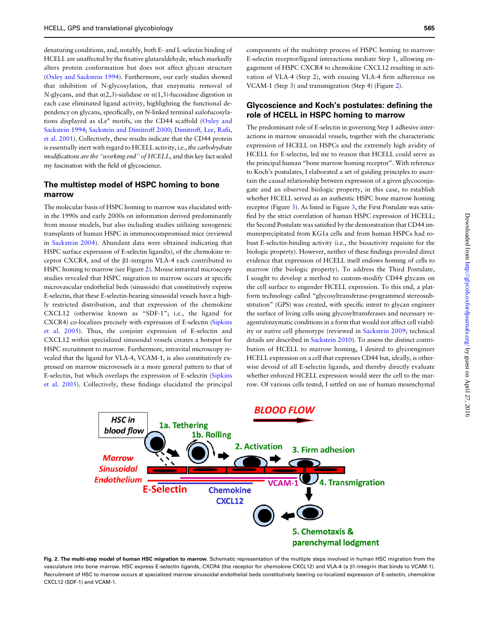denaturing conditions, and, notably, both E- and L-selectin binding of HCELL are unaffected by the fixative glutaraldehyde, which markedly alters protein conformation but does not affect glycan structure [\(Oxley and Sackstein 1994\)](#page-9-0). Furthermore, our early studies showed that inhibition of N-glycosylation, that enzymatic removal of N-glycans, and that  $\alpha(2,3)$ -sialidase or  $\alpha(1,3)$ -fucosidase digestion in each case eliminated ligand activity, highlighting the functional dependency on glycans, specifically, on N-linked terminal sialofucosylations displayed as  $sLe^{x}$  motifs, on the CD44 scaffold [\(Oxley and](#page-9-0) [Sackstein 1994](#page-9-0); [Sackstein and Dimitroff 2000](#page-10-0); [Dimitroff, Lee, Ra](#page-9-0)fii, [et al. 2001\)](#page-9-0). Collectively, these results indicate that the CD44 protein is essentially inert with regard to HCELL activity, i.e., the carbohydrate modifications are the "working end" of HCELL, and this key fact sealed my fascination with the field of glycoscience.

### The multistep model of HSPC homing to bone marrow

The molecular basis of HSPC homing to marrow was elucidated within the 1990s and early 2000s on information derived predominantly from mouse models, but also including studies utilizing xenogeneic transplants of human HSPC in immunocompromised mice (reviewed in [Sackstein 2004](#page-10-0)). Abundant data were obtained indicating that HSPC surface expression of E-selectin ligand(s), of the chemokine receptor CXCR4, and of the β1-integrin VLA-4 each contributed to HSPC homing to marrow (see Figure 2). Mouse intravital microscopy studies revealed that HSPC migration to marrow occurs at specific microvascular endothelial beds (sinusoids) that constitutively express E-selectin, that these E-selectin-bearing sinusoidal vessels have a highly restricted distribution, and that expression of the chemokine CXCL12 (otherwise known as "SDF-1"; i.e., the ligand for CXCR4) co-localizes precisely with expression of E-selectin ([Sipkins](#page-10-0) [et al. 2005\)](#page-10-0). Thus, the conjoint expression of E-selectin and CXCL12 within specialized sinusoidal vessels creates a hotspot for HSPC recruitment to marrow. Furthermore, intravital microscopy revealed that the ligand for VLA-4, VCAM-1, is also constitutively expressed on marrow microvessels in a more general pattern to that of E-selectin, but which overlaps the expression of E-selectin [\(Sipkins](#page-10-0) [et al. 2005](#page-10-0)). Collectively, these findings elucidated the principal

components of the multistep process of HSPC homing to marrow: E-selectin receptor/ligand interactions mediate Step 1, allowing engagement of HSPC CXCR4 to chemokine CXCL12 resulting in activation of VLA-4 (Step 2), with ensuing VLA-4 firm adherence on VCAM-1 (Step 3) and transmigration (Step 4) (Figure 2).

## Glycoscience and Koch's postulates: defining the role of HCELL in HSPC homing to marrow

The predominant role of E-selectin in governing Step 1 adhesive interactions in marrow sinusoidal vessels, together with the characteristic expression of HCELL on HSPCs and the extremely high avidity of HCELL for E-selectin, led me to reason that HCELL could serve as the principal human "bone marrow homing receptor". With reference to Koch's postulates, I elaborated a set of guiding principles to ascertain the causal relationship between expression of a given glycoconjugate and an observed biologic property, in this case, to establish whether HCELL served as an authentic HSPC bone marrow homing receptor (Figure [3](#page-6-0)). As listed in Figure [3](#page-6-0), the First Postulate was satisfied by the strict correlation of human HSPC expression of HCELL; the Second Postulate was satisfied by the demonstration that CD44 immunoprecipitated from KG1a cells and from human HSPCs had robust E-selectin-binding activity (i.e., the bioactivity requisite for the biologic property). However, neither of these findings provided direct evidence that expression of HCELL itself endows homing of cells to marrow (the biologic property). To address the Third Postulate, I sought to develop a method to custom-modify CD44 glycans on the cell surface to engender HCELL expression. To this end, a platform technology called "glycosyltransferase-programmed stereosubstitution" (GPS) was created, with specific intent to glycan engineer the surface of living cells using glycosyltransferases and necessary reagents/enzymatic conditions in a form that would not affect cell viability or native cell phenotype (reviewed in [Sackstein 2009;](#page-10-0) technical details are described in [Sackstein 2010\)](#page-10-0). To assess the distinct contribution of HCELL to marrow homing, I desired to glycoengineer HCELL expression on a cell that expresses CD44 but, ideally, is otherwise devoid of all E-selectin ligands, and thereby directly evaluate whether enforced HCELL expression would steer the cell to the marrow. Of various cells tested, I settled on use of human mesenchymal



Fig. 2. The multi-step model of human HSC migration to marrow. Schematic representation of the multiple steps involved in human HSC migration from the vasculature into bone marrow. HSC express E-selectin ligands, CXCR4 (the receptor for chemokine CXCL12) and VLA-4 (a β1-integrin that binds to VCAM-1). Recruitment of HSC to marrow occurs at specialized marrow sinusoidal endothelial beds constitutively bearing co-localized expression of E-selectin, chemokine CXCL12 (SDF-1) and VCAM-1.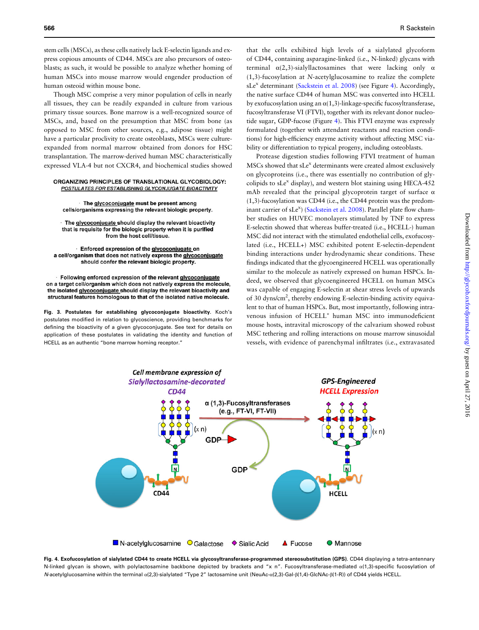<span id="page-6-0"></span>stem cells (MSCs), as these cells natively lack E-selectin ligands and express copious amounts of CD44. MSCs are also precursors of osteoblasts; as such, it would be possible to analyze whether homing of human MSCs into mouse marrow would engender production of human osteoid within mouse bone.

Though MSC comprise a very minor population of cells in nearly all tissues, they can be readily expanded in culture from various primary tissue sources. Bone marrow is a well-recognized source of MSCs, and, based on the presumption that MSC from bone (as opposed to MSC from other sources, e.g., adipose tissue) might have a particular proclivity to create osteoblasts, MSCs were cultureexpanded from normal marrow obtained from donors for HSC transplantation. The marrow-derived human MSC characteristically expressed VLA-4 but not CXCR4, and biochemical studies showed

#### ORGANIZING PRINCIPLES OF TRANSLATIONAL GLYCOBIOLOGY: POSTULATES FOR ESTABLISHING GLYCONJUGATE BIOACTIVITY

· The glycoconjugate must be present among cells/organisms expressing the relevant biologic property.

The glycoconjugate should display the relevant bioactivity that is requisite for the biologic property when it is purified from the host cell/tissue.

Enforced expression of the glycoconjugate on a cell/organism that does not natively express the glycoconjugate should confer the relevant biologic property.

Following enforced expression of the relevant glycoconjugate on a target cell/organism which does not natively express the molecule, the isolated glycoconjugate should display the relevant bioactivity and structural features homologous to that of the isolated native molecule.

Fig. 3. Postulates for establishing glycoconjugate bioactivity. Koch's postulates modified in relation to glycoscience, providing benchmarks for defining the bioactivity of a given glycoconjugate. See text for details on application of these postulates in validating the identity and function of HCELL as an authentic "bone marrow homing receptor."

that the cells exhibited high levels of a sialylated glycoform of CD44, containing asparagine-linked (i.e., N-linked) glycans with terminal  $\alpha$ (2,3)-sialyllactosamines that were lacking only  $\alpha$ (1,3)-fucosylation at N-acetylglucosamine to realize the complete sLe<sup>x</sup> determinant [\(Sackstein et al. 2008](#page-10-0)) (see Figure 4). Accordingly, the native surface CD44 of human MSC was converted into HCELL by exofucosylation using an  $\alpha(1,3)$ -linkage-specific fucosyltransferase, fucosyltransferase VI (FTVI), together with its relevant donor nucleotide sugar, GDP-fucose (Figure 4). This FTVI enzyme was expressly formulated (together with attendant reactants and reaction conditions) for high-efficiency enzyme activity without affecting MSC viability or differentiation to typical progeny, including osteoblasts.

Protease digestion studies following FTVI treatment of human MSCs showed that sLe<sup>x</sup> determinants were created almost exclusively on glycoproteins (i.e., there was essentially no contribution of glycolipids to  $sLe^{x}$  display), and western blot staining using HECA-452 mAb revealed that the principal glycoprotein target of surface α (1,3)-fucosylation was CD44 (i.e., the CD44 protein was the predom-inant carrier of sLe<sup>x</sup>) [\(Sackstein et al. 2008](#page-10-0)). Parallel plate flow chamber studies on HUVEC monolayers stimulated by TNF to express E-selectin showed that whereas buffer-treated (i.e., HCELL-) human MSC did not interact with the stimulated endothelial cells, exofucosylated (i.e., HCELL+) MSC exhibited potent E-selectin-dependent binding interactions under hydrodynamic shear conditions. These findings indicated that the glycoengineered HCELL was operationally similar to the molecule as natively expressed on human HSPCs. Indeed, we observed that glycoengineered HCELL on human MSCs was capable of engaging E-selectin at shear stress levels of upwards of 30 dyns/cm<sup>2</sup>, thereby endowing E-selectin-binding activity equivalent to that of human HSPCs. But, most importantly, following intravenous infusion of HCELL<sup>+</sup> human MSC into immunodeficient mouse hosts, intravital microscopy of the calvarium showed robust MSC tethering and rolling interactions on mouse marrow sinusoidal vessels, with evidence of parenchymal infiltrates (i.e., extravasated



Fig. 4. Exofucosylation of sialylated CD44 to create HCELL via glycosyltransferase-programmed stereosubstitution (GPS). CD44 displaying a tetra-antennary N-linked glycan is shown, with polylactosamine backbone depicted by brackets and "x n". Fucosyltransferase-mediated α(1,3)-specific fucosylation of N-acetylglucosamine within the terminal α(2,3)-sialylated "Type 2" lactosamine unit (NeuAc-α(2,3)-Gal-β(1,4)-GlcNAc-β(1-R)) of CD44 yields HCELL.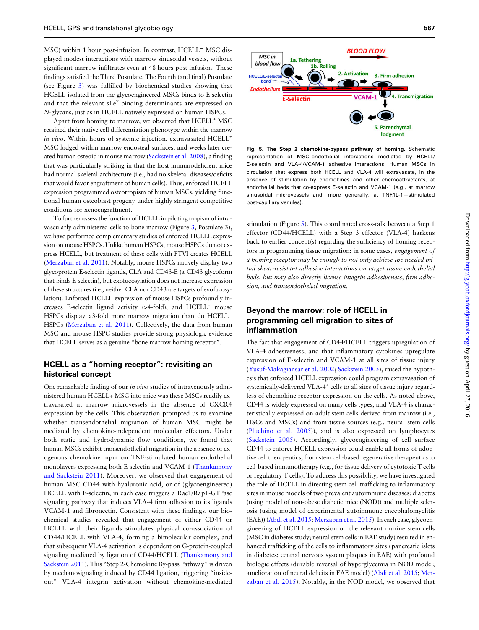MSC) within 1 hour post-infusion. In contrast, HCELL<sup>−</sup> MSC displayed modest interactions with marrow sinusoidal vessels, without significant marrow infiltrates even at 48 hours post-infusion. These findings satisfied the Third Postulate. The Fourth (and final) Postulate (see Figure [3\)](#page-6-0) was fulfilled by biochemical studies showing that HCELL isolated from the glycoengineered MSCs binds to E-selectin and that the relevant sLe<sup>x</sup> binding determinants are expressed on N-glycans, just as in HCELL natively expressed on human HSPCs.

Apart from homing to marrow, we observed that HCELL<sup>+</sup> MSC retained their native cell differentiation phenotype within the marrow in vivo. Within hours of systemic injection, extravasated HCELL<sup>+</sup> MSC lodged within marrow endosteal surfaces, and weeks later created human osteoid in mouse marrow ([Sackstein et al. 2008](#page-10-0)), a finding that was particularly striking in that the host immunodeficient mice had normal skeletal architecture (i.e., had no skeletal diseases/deficits that would favor engraftment of human cells). Thus, enforced HCELL expression programmed osteotropism of human MSCs, yielding functional human osteoblast progeny under highly stringent competitive conditions for xenoengraftment.

To further assess the function of HCELL in piloting tropism of intravascularly administered cells to bone marrow (Figure [3,](#page-6-0) Postulate 3), we have performed complementary studies of enforced HCELL expression on mouse HSPCs. Unlike human HSPCs, mouse HSPCs do not express HCELL, but treatment of these cells with FTVI creates HCELL [\(Merzaban et al. 2011\)](#page-9-0). Notably, mouse HSPCs natively display two glycoprotein E-selectin ligands, CLA and CD43-E (a CD43 glycoform that binds E-selectin), but exofucosylation does not increase expression of these structures (i.e., neither CLA nor CD43 are targets of exofucosylation). Enforced HCELL expression of mouse HSPCs profoundly increases E-selectin ligand activity (>4-fold), and HCELL<sup>+</sup> mouse HSPCs display >3-fold more marrow migration than do HCELL<sup>−</sup> HSPCs [\(Merzaban et al. 2011\)](#page-9-0). Collectively, the data from human MSC and mouse HSPC studies provide strong physiologic evidence that HCELL serves as a genuine "bone marrow homing receptor".

#### HCELL as a "homing receptor": revisiting an historical concept

One remarkable finding of our in vivo studies of intravenously administered human HCELL+ MSC into mice was these MSCs readily extravasated at marrow microvessels in the absence of CXCR4 expression by the cells. This observation prompted us to examine whether transendothelial migration of human MSC might be mediated by chemokine-independent molecular effectors. Under both static and hydrodynamic flow conditions, we found that human MSCs exhibit transendothelial migration in the absence of exogenous chemokine input on TNF-stimulated human endothelial monolayers expressing both E-selectin and VCAM-1 [\(Thankamony](#page-10-0) [and Sackstein 2011\)](#page-10-0). Moreover, we observed that engagement of human MSC CD44 with hyaluronic acid, or of (glycoengineered) HCELL with E-selectin, in each case triggers a Rac1/Rap1-GTPase signaling pathway that induces VLA-4 firm adhesion to its ligands VCAM-1 and fibronectin. Consistent with these findings, our biochemical studies revealed that engagement of either CD44 or HCELL with their ligands stimulates physical co-association of CD44/HCELL with VLA-4, forming a bimolecular complex, and that subsequent VLA-4 activation is dependent on G-protein-coupled signaling mediated by ligation of CD44/HCELL ([Thankamony and](#page-10-0) [Sackstein 2011](#page-10-0)). This "Step 2-Chemokine By-pass Pathway" is driven by mechanosignaling induced by CD44 ligation, triggering "insideout" VLA-4 integrin activation without chemokine-mediated



Fig. 5. The Step 2 chemokine-bypass pathway of homing. Schematic representation of MSC–endothelial interactions mediated by HCELL/ E-selectin and VLA-4/VCAM-1 adhesive interactions. Human MSCs in circulation that express both HCELL and VLA-4 will extravasate, in the absence of stimulation by chemokines and other chemoattractants, at endothelial beds that co-express E-selectin and VCAM-1 (e.g., at marrow sinusoidal microvessels and, more generally, at TNF/IL-1—stimulated post-capillary venules).

stimulation (Figure 5). This coordinated cross-talk between a Step 1 effector (CD44/HCELL) with a Step 3 effector (VLA-4) harkens back to earlier concept(s) regarding the sufficiency of homing receptors in programming tissue migration: in some cases, engagement of a homing receptor may be enough to not only achieve the needed initial shear-resistant adhesive interactions on target tissue endothelial beds, but may also directly license integrin adhesiveness, firm adhesion, and transendothelial migration.

## Beyond the marrow: role of HCELL in programming cell migration to sites of inflammation

The fact that engagement of CD44/HCELL triggers upregulation of VLA-4 adhesiveness, and that inflammatory cytokines upregulate expression of E-selectin and VCAM-1 at all sites of tissue injury [\(Yusuf-Makagiansar et al. 2002;](#page-10-0) [Sackstein 2005\)](#page-10-0), raised the hypothesis that enforced HCELL expression could program extravasation of systemically-delivered VLA-4<sup>+</sup> cells to all sites of tissue injury regardless of chemokine receptor expression on the cells. As noted above, CD44 is widely expressed on many cells types, and VLA-4 is characteristically expressed on adult stem cells derived from marrow (i.e., HSCs and MSCs) and from tissue sources (e.g., neural stem cells [\(Pluchino et al. 2005\)](#page-10-0)), and is also expressed on lymphocytes [\(Sackstein 2005](#page-10-0)). Accordingly, glycoengineering of cell surface CD44 to enforce HCELL expression could enable all forms of adoptive cell therapeutics, from stem cell-based regenerative therapeutics to cell-based immunotherapy (e.g., for tissue delivery of cytotoxic T cells or regulatory T cells). To address this possibility, we have investigated the role of HCELL in directing stem cell trafficking to inflammatory sites in mouse models of two prevalent autoimmune diseases: diabetes (using model of non-obese diabetic mice (NOD)) and multiple sclerosis (using model of experimental autoimmune encephalomyelitis (EAE)) ([Abdi et al. 2015](#page-8-0); [Merzaban et al. 2015\)](#page-9-0). In each case, glycoengineering of HCELL expression on the relevant murine stem cells (MSC in diabetes study; neural stem cells in EAE study) resulted in enhanced trafficking of the cells to inflammatory sites (pancreatic islets in diabetes; central nervous system plaques in EAE) with profound biologic effects (durable reversal of hyperglycemia in NOD model; amelioration of neural deficits in EAE model) [\(Abdi et al. 2015](#page-8-0); [Mer](#page-9-0)[zaban et al. 2015](#page-9-0)). Notably, in the NOD model, we observed that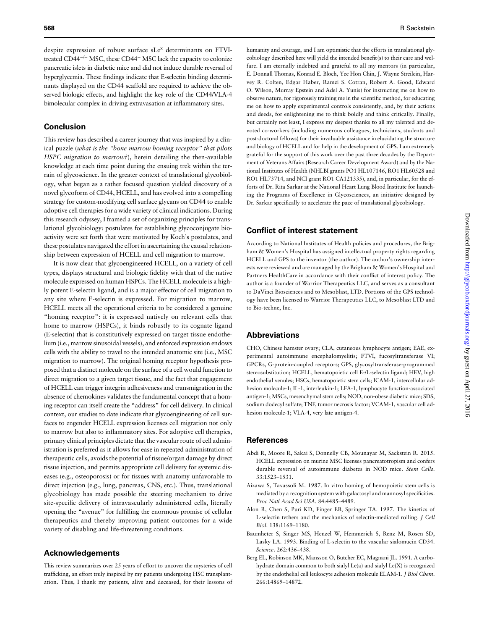<span id="page-8-0"></span>despite expression of robust surface sLe<sup>x</sup> determinants on FTVItreated CD44−/<sup>−</sup> MSC, these CD44<sup>−</sup> MSC lack the capacity to colonize pancreatic islets in diabetic mice and did not induce durable reversal of hyperglycemia. These findings indicate that E-selectin binding determinants displayed on the CD44 scaffold are required to achieve the observed biologic effects, and highlight the key role of the CD44/VLA-4 bimolecular complex in driving extravasation at inflammatory sites.

## Conclusion

This review has described a career journey that was inspired by a clinical puzzle (what is the "bone marrow homing receptor" that pilots HSPC migration to marrow?), herein detailing the then-available knowledge at each time point during the ensuing trek within the terrain of glycoscience. In the greater context of translational glycobiology, what began as a rather focused question yielded discovery of a novel glycoform of CD44, HCELL, and has evolved into a compelling strategy for custom-modifying cell surface glycans on CD44 to enable adoptive cell therapies for a wide variety of clinical indications. During this research odyssey, I framed a set of organizing principles for translational glycobiology: postulates for establishing glycoconjugate bioactivity were set forth that were motivated by Koch's postulates, and these postulates navigated the effort in ascertaining the causal relationship between expression of HCELL and cell migration to marrow.

It is now clear that glycoengineered HCELL, on a variety of cell types, displays structural and biologic fidelity with that of the native molecule expressed on human HSPCs. The HCELL molecule is a highly potent E-selectin ligand, and is a major effector of cell migration to any site where E-selectin is expressed. For migration to marrow, HCELL meets all the operational criteria to be considered a genuine "homing receptor": it is expressed natively on relevant cells that home to marrow (HSPCs), it binds robustly to its cognate ligand (E-selectin) that is constitutively expressed on target tissue endothelium (i.e., marrow sinusoidal vessels), and enforced expression endows cells with the ability to travel to the intended anatomic site (i.e., MSC migration to marrow). The original homing receptor hypothesis proposed that a distinct molecule on the surface of a cell would function to direct migration to a given target tissue, and the fact that engagement of HCELL can trigger integrin adhesiveness and transmigration in the absence of chemokines validates the fundamental concept that a homing receptor can itself create the "address" for cell delivery. In clinical context, our studies to date indicate that glycoengineering of cell surfaces to engender HCELL expression licenses cell migration not only to marrow but also to inflammatory sites. For adoptive cell therapies, primary clinical principles dictate that the vascular route of cell administration is preferred as it allows for ease in repeated administration of therapeutic cells, avoids the potential of tissue/organ damage by direct tissue injection, and permits appropriate cell delivery for systemic diseases (e.g., osteoporosis) or for tissues with anatomy unfavorable to direct injection (e.g., lung, pancreas, CNS, etc.). Thus, translational glycobiology has made possible the steering mechanism to drive site-specific delivery of intravascularly administered cells, literally opening the "avenue" for fulfilling the enormous promise of cellular therapeutics and thereby improving patient outcomes for a wide variety of disabling and life-threatening conditions.

#### Acknowledgements

This review summarizes over 25 years of effort to uncover the mysteries of cell trafficking, an effort truly inspired by my patients undergoing HSC transplantation. Thus, I thank my patients, alive and deceased, for their lessons of

humanity and courage, and I am optimistic that the efforts in translational glycobiology described here will yield the intended benefit(s) to their care and welfare. I am eternally indebted and grateful to all my mentors (in particular, E. Donnall Thomas, Konrad E. Bloch, Yee Hon Chin, J. Wayne Streilein, Harvey R. Colten, Edgar Haber, Ramzi S. Cotran, Robert A. Good, Edward O. Wilson, Murray Epstein and Adel A. Yunis) for instructing me on how to observe nature, for rigorously training me in the scientific method, for educating me on how to apply experimental controls consistently, and, by their actions and deeds, for enlightening me to think boldly and think critically. Finally, but certainly not least, I express my deepest thanks to all my talented and devoted co-workers (including numerous colleagues, technicians, students and post-doctoral fellows) for their invaluable assistance in elucidating the structure and biology of HCELL and for help in the development of GPS. I am extremely grateful for the support of this work over the past three decades by the Department of Veterans Affairs (Research Career Development Award) and by the National Institutes of Health (NHLBI grants PO1 HL107146, RO1 HL60528 and RO1 HL73714, and NCI grant RO1 CA121335), and, in particular, for the efforts of Dr. Rita Sarkar at the National Heart Lung Blood Institute for launching the Programs of Excellence in Glycosciences, an initiative designed by Dr. Sarkar specifically to accelerate the pace of translational glycobiology.

#### Conflict of interest statement

According to National Institutes of Health policies and procedures, the Brigham & Women's Hospital has assigned intellectual property rights regarding HCELL and GPS to the inventor (the author). The author's ownership interests were reviewed and are managed by the Brigham & Women's Hospital and Partners HealthCare in accordance with their conflict of interest policy. The author is a founder of Warrior Therapeutics LLC, and serves as a consultant to DaVinci Biosciences and to Mesoblast, LTD. Portions of the GPS technology have been licensed to Warrior Therapeutics LLC, to Mesoblast LTD and to Bio-techne, Inc.

#### Abbreviations

CHO, Chinese hamster ovary; CLA, cutaneous lymphocyte antigen; EAE, experimental autoimmune encephalomyelitis; FTVI, fucosyltransferase VI; GPCRs, G-protein-coupled receptors; GPS, glycosyltransferase-programmed stereosubstitution; HCELL, hematopoietic cell E-/L-selectin ligand; HEV, high endothelial venules; HSCs, hematopoietic stem cells; ICAM-1, intercellular adhesion molecule-1; IL-1, interleukin-1; LFA-1, lymphocyte function-associated antigen-1; MSCs, mesenchymal stem cells; NOD, non-obese diabetic mice; SDS, sodium dodecyl sulfate; TNF, tumor necrosis factor; VCAM-1, vascular cell adhesion molecule-1; VLA-4, very late antigen-4.

#### References

- Abdi R, Moore R, Sakai S, Donnelly CB, Mounayar M, Sackstein R. 2015. HCELL expression on murine MSC licenses pancreatotropism and confers durable reversal of autoimmune diabetes in NOD mice. Stem Cells. 33:1523–1531.
- Aizawa S, Tavassoli M. 1987. In vitro homing of hemopoietic stem cells is mediated by a recognition system with galactosyl and mannosyl specificities. Proc Natl Acad Sci USA. 84:4485–4489.
- Alon R, Chen S, Puri KD, Finger EB, Springer TA. 1997. The kinetics of L-selectin tethers and the mechanics of selectin-mediated rolling. J Cell Biol. 138:1169–1180.
- Baumheter S, Singer MS, Henzel W, Hemmerich S, Renz M, Rosen SD, Lasky LA. 1993. Binding of L-selectin to the vascular sialomucin CD34. Science. 262:436–438.
- Berg EL, Robinson MK, Mansson O, Butcher EC, Magnani JL. 1991. A carbohydrate domain common to both sialyl Le(a) and sialyl Le(X) is recognized by the endothelial cell leukocyte adhesion molecule ELAM-1. J Biol Chem. 266:14869–14872.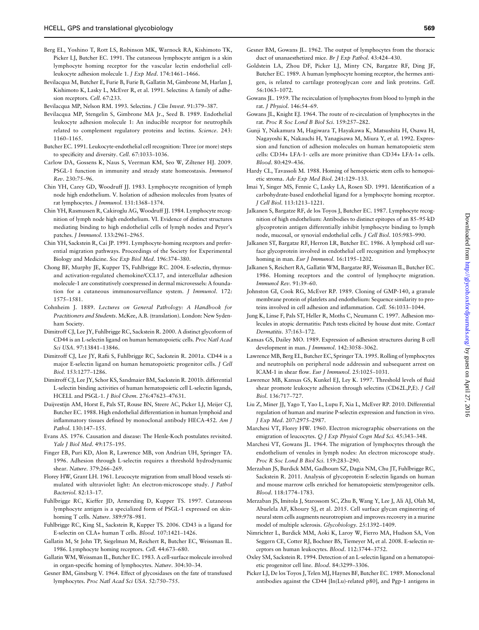- <span id="page-9-0"></span>Berg EL, Yoshino T, Rott LS, Robinson MK, Warnock RA, Kishimoto TK, Picker LJ, Butcher EC. 1991. The cutaneous lymphocyte antigen is a skin lymphocyte homing receptor for the vascular lectin endothelial cellleukocyte adhesion molecule 1. J Exp Med. 174:1461–1466.
- Bevilacqua M, Butcher E, Furie B, Furie B, Gallatin M, Gimbrone M, Harlan J, Kishimoto K, Lasky L, McEver R, et al. 1991. Selectins: A family of adhesion receptors. Cell. 67:233.

Bevilacqua MP, Nelson RM. 1993. Selectins. J Clin Invest. 91:379–387.

- Bevilacqua MP, Stengelin S, Gimbrone MA Jr., Seed B. 1989. Endothelial leukocyte adhesion molecule 1: An inducible receptor for neutrophils related to complement regulatory proteins and lectins. Science. 243: 1160–1165.
- Butcher EC. 1991. Leukocyte-endothelial cell recognition: Three (or more) steps to specificity and diversity. Cell. 67:1033–1036.
- Carlow DA, Gossens K, Naus S, Veerman KM, Seo W, Ziltener HJ. 2009. PSGL-1 function in immunity and steady state homeostasis. Immunol Rev. 230:75–96.
- Chin YH, Carey GD, Woodruff JJ. 1983. Lymphocyte recognition of lymph node high endothelium. V. Isolation of adhesion molecules from lysates of rat lymphocytes. J Immunol. 131:1368–1374.
- Chin YH, Rasmussen R, Cakiroglu AG, Woodruff JJ. 1984. Lymphocyte recognition of lymph node high endothelium. VI. Evidence of distinct structures mediating binding to high endothelial cells of lymph nodes and Peyer's patches. J Immunol. 133:2961–2965.
- Chin YH, Sackstein R, Cai JP. 1991. Lymphocyte-homing receptors and preferential migration pathways. Proceedings of the Society for Experimental Biology and Medicine. Soc Exp Biol Med. 196:374–380.
- Chong BF, Murphy JE, Kupper TS, Fuhlbrigge RC. 2004. E-selectin, thymusand activation-regulated chemokine/CCL17, and intercellular adhesion molecule-1 are constitutively coexpressed in dermal microvessels: A foundation for a cutaneous immunosurveillance system. J Immunol. 172: 1575–1581.
- Cohnheim J. 1889. Lectures on General Pathology: A Handbook for Practitioners and Students. McKee, A.B. (translation). London: New Sydenham Society.
- Dimitroff CJ, Lee JY, Fuhlbrigge RC, Sackstein R. 2000. A distinct glycoform of CD44 is an L-selectin ligand on human hematopoietic cells. Proc Natl Acad Sci USA. 97:13841–13846.
- Dimitroff CJ, Lee JY, Rafii S, Fuhlbrigge RC, Sackstein R. 2001a. CD44 is a major E-selectin ligand on human hematopoietic progenitor cells. J Cell Biol. 153:1277–1286.
- Dimitroff CJ, Lee JY, Schor KS, Sandmaier BM, Sackstein R. 2001b. differential L-selectin binding activities of human hematopoietic cell L-selectin ligands, HCELL and PSGL-1. J Biol Chem. 276:47623–47631.
- Duijvestijn AM, Horst E, Pals ST, Rouse BN, Steere AC, Picker LJ, Meijer CJ, Butcher EC. 1988. High endothelial differentiation in human lymphoid and inflammatory tissues defined by monoclonal antibody HECA-452. Am J Pathol. 130:147–155.
- Evans AS. 1976. Causation and disease: The Henle-Koch postulates revisited. Yale J Biol Med. 49:175–195.
- Finger EB, Puri KD, Alon R, Lawrence MB, von Andrian UH, Springer TA. 1996. Adhesion through L-selectin requires a threshold hydrodynamic shear. Nature. 379:266–269.
- Florey HW, Grant LH. 1961. Leucocyte migration from small blood vessels stimulated with ultraviolet light: An electron-microscope study. J Pathol Bacteriol. 82:13–17.
- Fuhlbrigge RC, Kieffer JD, Armerding D, Kupper TS. 1997. Cutaneous lymphocyte antigen is a specialized form of PSGL-1 expressed on skinhoming T cells. Nature. 389:978–981.
- Fuhlbrigge RC, King SL, Sackstein R, Kupper TS. 2006. CD43 is a ligand for E-selectin on CLA+ human T cells. Blood. 107:1421–1426.
- Gallatin M, St John TP, Siegelman M, Reichert R, Butcher EC, Weissman IL. 1986. Lymphocyte homing receptors. Cell. 44:673–680.
- Gallatin WM, Weissman IL, Butcher EC. 1983. A cell-surface molecule involved in organ-specific homing of lymphocytes. Nature. 304:30–34.
- Gesner BM, Ginsburg V. 1964. Effect of glycosidases on the fate of transfused lymphocytes. Proc Natl Acad Sci USA. 52:750–755.
- Gesner BM, Gowans JL. 1962. The output of lymphocytes from the thoracic duct of unanaesthetized mice. Br J Exp Pathol. 43:424–430.
- Goldstein LA, Zhou DF, Picker LJ, Minty CN, Bargatze RF, Ding JF, Butcher EC. 1989. A human lymphocyte homing receptor, the hermes antigen, is related to cartilage proteoglycan core and link proteins. Cell. 56:1063–1072.
- Gowans JL. 1959. The recirculation of lymphocytes from blood to lymph in the rat. J Physiol. 146:54–69.
- Gowans JL, Knight EJ. 1964. The route of re-circulation of lymphocytes in the rat. Proc R Soc Lond B Biol Sci. 159:257–282.
- Gunji Y, Nakamura M, Hagiwara T, Hayakawa K, Matsushita H, Osawa H, Nagayoshi K, Nakauchi H, Yanagisawa M, Miura Y, et al. 1992. Expression and function of adhesion molecules on human hematopoietic stem cells: CD34+ LFA-1- cells are more primitive than CD34+ LFA-1+ cells. Blood. 80:429–436.
- Hardy CL, Tavassoli M. 1988. Homing of hemopoietic stem cells to hemopoietic stroma. Adv Exp Med Biol. 241:129–133.
- Imai Y, Singer MS, Fennie C, Lasky LA, Rosen SD. 1991. Identification of a carbohydrate-based endothelial ligand for a lymphocyte homing receptor. J Cell Biol. 113:1213–1221.
- Jalkanen S, Bargatze RF, de los Toyos J, Butcher EC. 1987. Lymphocyte recognition of high endothelium: Antibodies to distinct epitopes of an 85–95-kD glycoprotein antigen differentially inhibit lymphocyte binding to lymph node, mucosal, or synovial endothelial cells. J Cell Biol. 105:983–990.
- Jalkanen ST, Bargatze RF, Herron LR, Butcher EC. 1986. A lymphoid cell surface glycoprotein involved in endothelial cell recognition and lymphocyte homing in man. *Eur J Immunol*. 16:1195-1202.
- Jalkanen S, Reichert RA, Gallatin WM, Bargatze RF, Weissman IL, Butcher EC. 1986. Homing receptors and the control of lymphocyte migration. Immunol Rev. 91:39–60.
- Johnston GI, Cook RG, McEver RP. 1989. Cloning of GMP-140, a granule membrane protein of platelets and endothelium: Sequence similarity to proteins involved in cell adhesion and inflammation. Cell. 56:1033–1044.
- Jung K, Linse F, Pals ST, Heller R, Moths C, Neumann C. 1997. Adhesion molecules in atopic dermatitis: Patch tests elicited by house dust mite. Contact Dermatitis. 37:163–172.
- Kansas GS, Dailey MO. 1989. Expression of adhesion structures during B cell development in man. J Immunol. 142:3058–3062.
- Lawrence MB, Berg EL, Butcher EC, Springer TA. 1995. Rolling of lymphocytes and neutrophils on peripheral node addressin and subsequent arrest on ICAM-1 in shear flow. Eur J Immunol. 25:1025–1031.
- Lawrence MB, Kansas GS, Kunkel EJ, Ley K. 1997. Threshold levels of fluid shear promote leukocyte adhesion through selectins (CD62L,P,E). J Cell Biol. 136:717–727.
- Liu Z, Miner JJ, Yago T, Yao L, Lupu F, Xia L, McEver RP. 2010. Differential regulation of human and murine P-selectin expression and function in vivo. J Exp Med. 207:2975–2987.
- Marchesi VT, Florey HW. 1960. Electron micrographic observations on the emigration of leucocytes. Q J Exp Physiol Cogn Med Sci. 45:343–348.
- Marchesi VT, Gowans JL. 1964. The migration of lymphocytes through the endothelium of venules in lymph nodes: An electron microscope study. Proc R Soc Lond B Biol Sci. 159:283–290.
- Merzaban JS, Burdick MM, Gadhoum SZ, Dagia NM, Chu JT, Fuhlbrigge RC, Sackstein R. 2011. Analysis of glycoprotein E-selectin ligands on human and mouse marrow cells enriched for hematopoietic stem/progenitor cells. Blood. 118:1774–1783.
- Merzaban JS, Imitola J, Starossom SC, Zhu B, Wang Y, Lee J, Ali AJ, Olah M, Abuelela AF, Khoury SJ, et al. 2015. Cell surface glycan engineering of neural stem cells augments neurotropism and improves recovery in a murine model of multiple sclerosis. Glycobiology. 25:1392–1409.
- Nimrichter L, Burdick MM, Aoki K, Laroy W, Fierro MA, Hudson SA, Von Seggern CE, Cotter RJ, Bochner BS, Tiemeyer M, et al. 2008. E-selectin receptors on human leukocytes. Blood. 112:3744–3752.
- Oxley SM, Sackstein R. 1994. Detection of an L-selectin ligand on a hematopoietic progenitor cell line. Blood. 84:3299–3306.
- Picker LJ, De los Toyos J, Telen MJ, Haynes BF, Butcher EC. 1989. Monoclonal antibodies against the CD44 [In(Lu)-related p80], and Pgp-1 antigens in